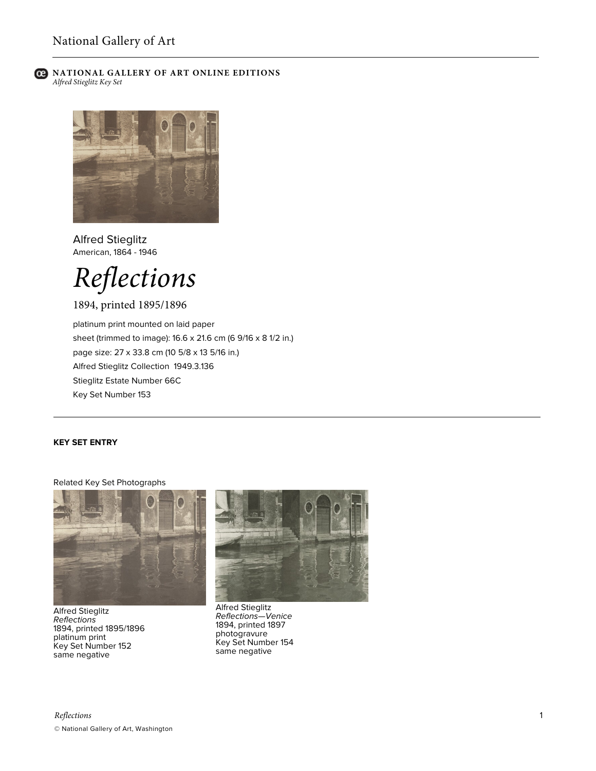

# **C** NATIONAL GALLERY OF ART ONLINE EDITIONS *Alfred Stieglitz Key Set*



Alfred Stieglitz American, 1864 - 1946



1894, printed 1895/1896

platinum print mounted on laid paper sheet (trimmed to image): 16.6 x 21.6 cm (6 9/16 x 8 1/2 in.) page size: 27 x 33.8 cm (10 5/8 x 13 5/16 in.) Alfred Stieglitz Collection 1949.3.136 Stieglitz Estate Number 66C Key Set Number 153

# **KEY SET ENTRY**

#### Related Key Set Photographs



Alfred Stieglitz *Reflections* 1894, printed 1895/1896 platinum print Key Set Number 152 same negative



Alfred Stieglitz *Reflections—Venice* 1894, printed 1897 photogravure Key Set Number 154 same negative